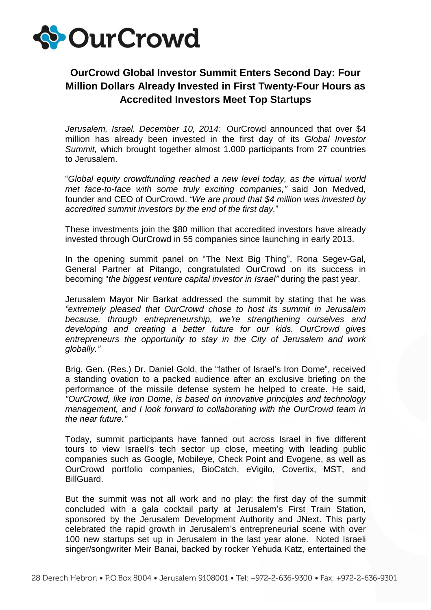

## **OurCrowd Global Investor Summit Enters Second Day: Four Million Dollars Already Invested in First Twenty-Four Hours as Accredited Investors Meet Top Startups**

*Jerusalem, Israel. December 10, 2014:* OurCrowd announced that over \$4 million has already been invested in the first day of its *Global Investor Summit,* which brought together almost 1.000 participants from 27 countries to Jerusalem.

"*Global equity crowdfunding reached a new level today, as the virtual world met face-to-face with some truly exciting companies,"* said Jon Medved, founder and CEO of OurCrowd. *"We are proud that \$4 million was invested by accredited summit investors by the end of the first day.*"

These investments join the \$80 million that accredited investors have already invested through OurCrowd in 55 companies since launching in early 2013.

In the opening summit panel on "The Next Big Thing", Rona Segev-Gal, General Partner at Pitango, congratulated OurCrowd on its success in becoming "*the biggest venture capital investor in Israel"* during the past year.

Jerusalem Mayor Nir Barkat addressed the summit by stating that he was *"extremely pleased that OurCrowd chose to host its summit in Jerusalem because, through entrepreneurship, we're strengthening ourselves and developing and creating a better future for our kids. OurCrowd gives entrepreneurs the opportunity to stay in the City of Jerusalem and work globally."*

Brig. Gen. (Res.) Dr. Daniel Gold, the "father of Israel's Iron Dome", received a standing ovation to a packed audience after an exclusive briefing on the performance of the missile defense system he helped to create. He said, *"OurCrowd, like Iron Dome, is based on innovative principles and technology management, and I look forward to collaborating with the OurCrowd team in the near future."*

Today, summit participants have fanned out across Israel in five different tours to view Israeli's tech sector up close, meeting with leading public companies such as Google, Mobileye, Check Point and Evogene, as well as OurCrowd portfolio companies, BioCatch, eVigilo, Covertix, MST, and BillGuard.

But the summit was not all work and no play: the first day of the summit concluded with a gala cocktail party at Jerusalem's First Train Station, sponsored by the Jerusalem Development Authority and JNext. This party celebrated the rapid growth in Jerusalem's entrepreneurial scene with over 100 new startups set up in Jerusalem in the last year alone. Noted Israeli singer/songwriter Meir Banai, backed by rocker Yehuda Katz, entertained the